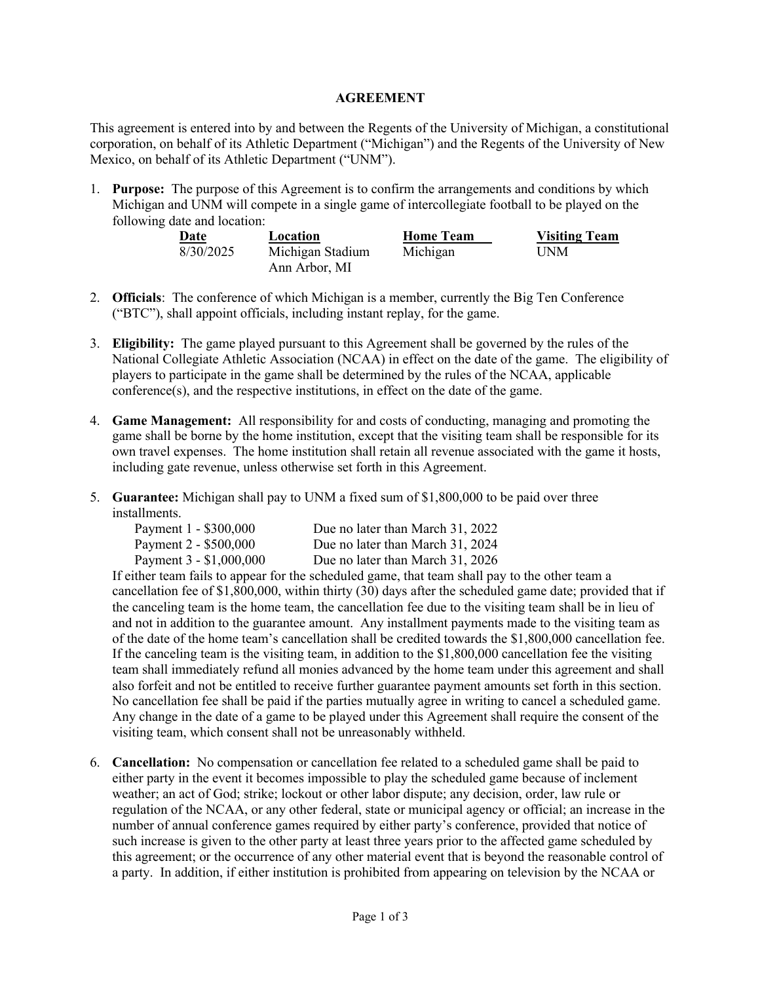## **AGREEMENT**

This agreement is entered into by and between the Regents of the University of Michigan, a constitutional corporation, on behalf of its Athletic Department ("Michigan") and the Regents of the University of New Mexico, on behalf of its Athletic Department ("UNM").

1. **Purpose:** The purpose of this Agreement is to confirm the arrangements and conditions by which Michigan and UNM will compete in a single game of intercollegiate football to be played on the following date and location:

| Date      | Location         | <b>Home Team</b> | <b>Visiting Team</b> |
|-----------|------------------|------------------|----------------------|
| 8/30/2025 | Michigan Stadium | Michigan         | <b>UNM</b>           |
|           | Ann Arbor, MI    |                  |                      |

- 2. **Officials**: The conference of which Michigan is a member, currently the Big Ten Conference ("BTC"), shall appoint officials, including instant replay, for the game.
- 3. **Eligibility:** The game played pursuant to this Agreement shall be governed by the rules of the National Collegiate Athletic Association (NCAA) in effect on the date of the game. The eligibility of players to participate in the game shall be determined by the rules of the NCAA, applicable conference(s), and the respective institutions, in effect on the date of the game.
- 4. **Game Management:** All responsibility for and costs of conducting, managing and promoting the game shall be borne by the home institution, except that the visiting team shall be responsible for its own travel expenses. The home institution shall retain all revenue associated with the game it hosts, including gate revenue, unless otherwise set forth in this Agreement.
- 5. **Guarantee:** Michigan shall pay to UNM a fixed sum of \$1,800,000 to be paid over three installments.

| Payment 1 - \$300,000   | Due no later than March 31, 2022 |
|-------------------------|----------------------------------|
| Payment 2 - \$500,000   | Due no later than March 31, 2024 |
| Payment 3 - \$1,000,000 | Due no later than March 31, 2026 |

If either team fails to appear for the scheduled game, that team shall pay to the other team a cancellation fee of \$1,800,000, within thirty (30) days after the scheduled game date; provided that if the canceling team is the home team, the cancellation fee due to the visiting team shall be in lieu of and not in addition to the guarantee amount. Any installment payments made to the visiting team as of the date of the home team's cancellation shall be credited towards the \$1,800,000 cancellation fee. If the canceling team is the visiting team, in addition to the \$1,800,000 cancellation fee the visiting team shall immediately refund all monies advanced by the home team under this agreement and shall also forfeit and not be entitled to receive further guarantee payment amounts set forth in this section. No cancellation fee shall be paid if the parties mutually agree in writing to cancel a scheduled game. Any change in the date of a game to be played under this Agreement shall require the consent of the visiting team, which consent shall not be unreasonably withheld.

6. **Cancellation:** No compensation or cancellation fee related to a scheduled game shall be paid to either party in the event it becomes impossible to play the scheduled game because of inclement weather; an act of God; strike; lockout or other labor dispute; any decision, order, law rule or regulation of the NCAA, or any other federal, state or municipal agency or official; an increase in the number of annual conference games required by either party's conference, provided that notice of such increase is given to the other party at least three years prior to the affected game scheduled by this agreement; or the occurrence of any other material event that is beyond the reasonable control of a party. In addition, if either institution is prohibited from appearing on television by the NCAA or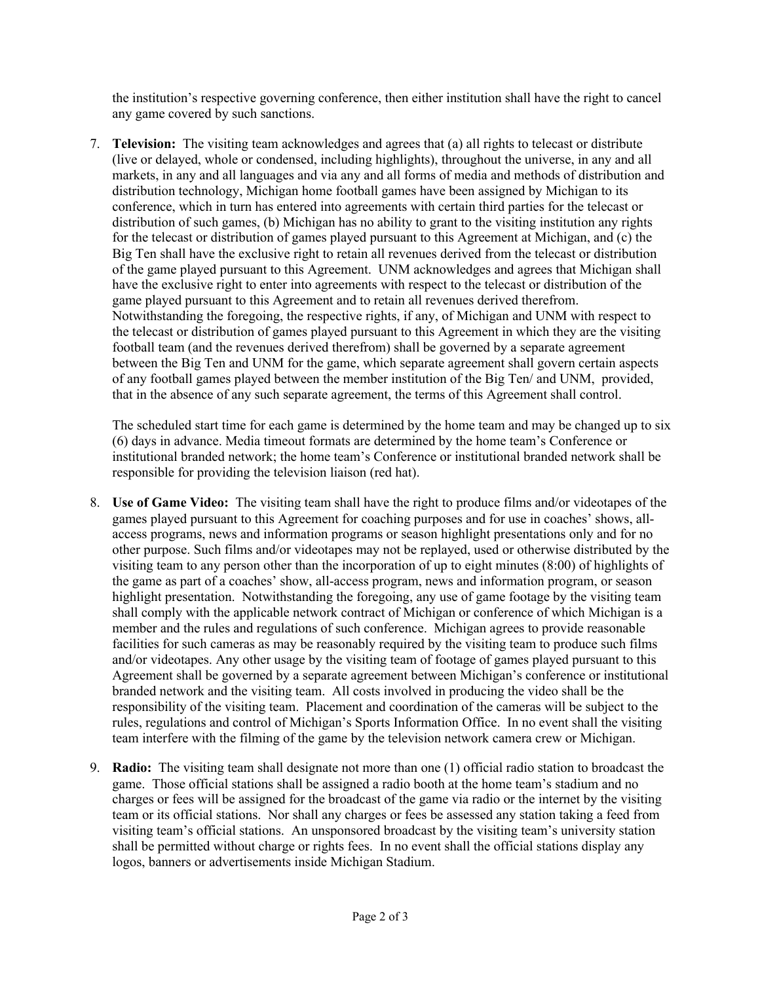the institution's respective governing conference, then either institution shall have the right to cancel any game covered by such sanctions.

7. **Television:** The visiting team acknowledges and agrees that (a) all rights to telecast or distribute (live or delayed, whole or condensed, including highlights), throughout the universe, in any and all markets, in any and all languages and via any and all forms of media and methods of distribution and distribution technology, Michigan home football games have been assigned by Michigan to its conference, which in turn has entered into agreements with certain third parties for the telecast or distribution of such games, (b) Michigan has no ability to grant to the visiting institution any rights for the telecast or distribution of games played pursuant to this Agreement at Michigan, and (c) the Big Ten shall have the exclusive right to retain all revenues derived from the telecast or distribution of the game played pursuant to this Agreement. UNM acknowledges and agrees that Michigan shall have the exclusive right to enter into agreements with respect to the telecast or distribution of the game played pursuant to this Agreement and to retain all revenues derived therefrom. Notwithstanding the foregoing, the respective rights, if any, of Michigan and UNM with respect to the telecast or distribution of games played pursuant to this Agreement in which they are the visiting football team (and the revenues derived therefrom) shall be governed by a separate agreement between the Big Ten and UNM for the game, which separate agreement shall govern certain aspects of any football games played between the member institution of the Big Ten/ and UNM, provided, that in the absence of any such separate agreement, the terms of this Agreement shall control.

The scheduled start time for each game is determined by the home team and may be changed up to six (6) days in advance. Media timeout formats are determined by the home team's Conference or institutional branded network; the home team's Conference or institutional branded network shall be responsible for providing the television liaison (red hat).

- 8. **Use of Game Video:** The visiting team shall have the right to produce films and/or videotapes of the games played pursuant to this Agreement for coaching purposes and for use in coaches' shows, allaccess programs, news and information programs or season highlight presentations only and for no other purpose. Such films and/or videotapes may not be replayed, used or otherwise distributed by the visiting team to any person other than the incorporation of up to eight minutes (8:00) of highlights of the game as part of a coaches' show, all-access program, news and information program, or season highlight presentation. Notwithstanding the foregoing, any use of game footage by the visiting team shall comply with the applicable network contract of Michigan or conference of which Michigan is a member and the rules and regulations of such conference. Michigan agrees to provide reasonable facilities for such cameras as may be reasonably required by the visiting team to produce such films and/or videotapes. Any other usage by the visiting team of footage of games played pursuant to this Agreement shall be governed by a separate agreement between Michigan's conference or institutional branded network and the visiting team. All costs involved in producing the video shall be the responsibility of the visiting team. Placement and coordination of the cameras will be subject to the rules, regulations and control of Michigan's Sports Information Office. In no event shall the visiting team interfere with the filming of the game by the television network camera crew or Michigan.
- 9. **Radio:** The visiting team shall designate not more than one (1) official radio station to broadcast the game. Those official stations shall be assigned a radio booth at the home team's stadium and no charges or fees will be assigned for the broadcast of the game via radio or the internet by the visiting team or its official stations. Nor shall any charges or fees be assessed any station taking a feed from visiting team's official stations. An unsponsored broadcast by the visiting team's university station shall be permitted without charge or rights fees. In no event shall the official stations display any logos, banners or advertisements inside Michigan Stadium.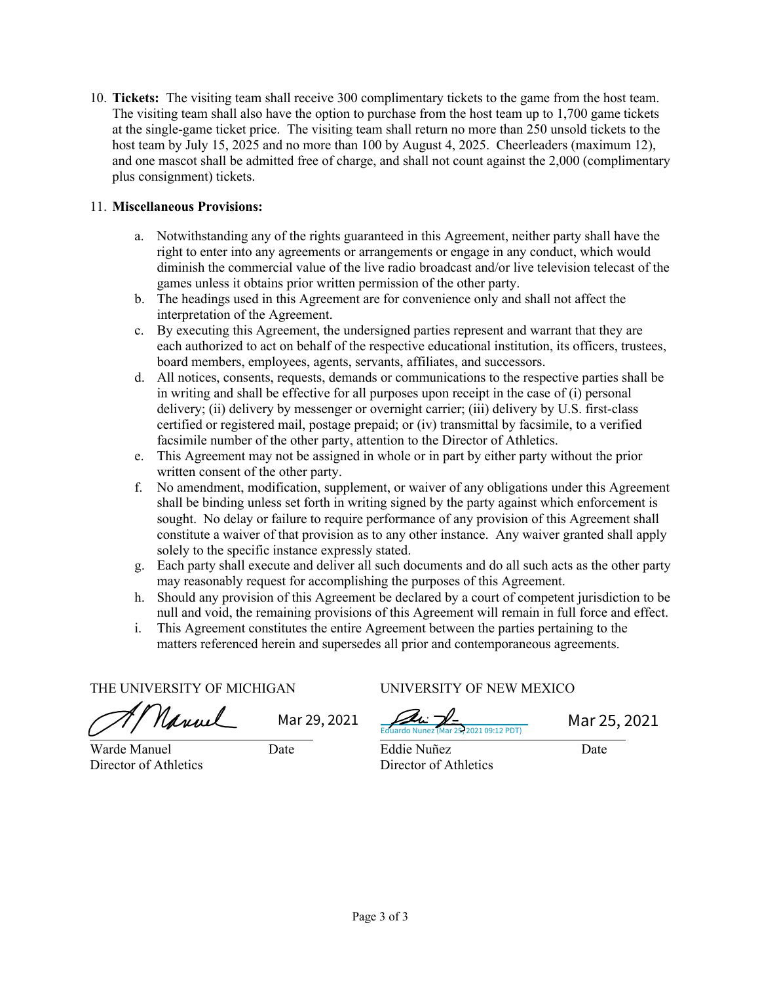10. **Tickets:** The visiting team shall receive 300 complimentary tickets to the game from the host team. The visiting team shall also have the option to purchase from the host team up to 1,700 game tickets at the single-game ticket price. The visiting team shall return no more than 250 unsold tickets to the host team by July 15, 2025 and no more than 100 by August 4, 2025. Cheerleaders (maximum 12), and one mascot shall be admitted free of charge, and shall not count against the 2,000 (complimentary plus consignment) tickets.

## 11. **Miscellaneous Provisions:**

- a. Notwithstanding any of the rights guaranteed in this Agreement, neither party shall have the right to enter into any agreements or arrangements or engage in any conduct, which would diminish the commercial value of the live radio broadcast and/or live television telecast of the games unless it obtains prior written permission of the other party.
- b. The headings used in this Agreement are for convenience only and shall not affect the interpretation of the Agreement.
- c. By executing this Agreement, the undersigned parties represent and warrant that they are each authorized to act on behalf of the respective educational institution, its officers, trustees, board members, employees, agents, servants, affiliates, and successors.
- d. All notices, consents, requests, demands or communications to the respective parties shall be in writing and shall be effective for all purposes upon receipt in the case of (i) personal delivery; (ii) delivery by messenger or overnight carrier; (iii) delivery by U.S. first-class certified or registered mail, postage prepaid; or (iv) transmittal by facsimile, to a verified facsimile number of the other party, attention to the Director of Athletics.
- e. This Agreement may not be assigned in whole or in part by either party without the prior written consent of the other party.
- f. No amendment, modification, supplement, or waiver of any obligations under this Agreement shall be binding unless set forth in writing signed by the party against which enforcement is sought. No delay or failure to require performance of any provision of this Agreement shall constitute a waiver of that provision as to any other instance. Any waiver granted shall apply solely to the specific instance expressly stated.
- g. Each party shall execute and deliver all such documents and do all such acts as the other party may reasonably request for accomplishing the purposes of this Agreement.
- h. Should any provision of this Agreement be declared by a court of competent jurisdiction to be null and void, the remaining provisions of this Agreement will remain in full force and effect.
- i. This Agreement constitutes the entire Agreement between the parties pertaining to the matters referenced herein and supersedes all prior and contemporaneous agreements.

THE UNIVERSITY OF MICHIGAN UNIVERSITY OF NEW MEXICO

Nanuel

P. 2021 09:12 PDT) Mar 29, 2021  $\sqrt{4\pi}$  Mar 25, 2021

Warde Manuel Date Eddie Nuñez Date

Director of Athletics Director of Athletics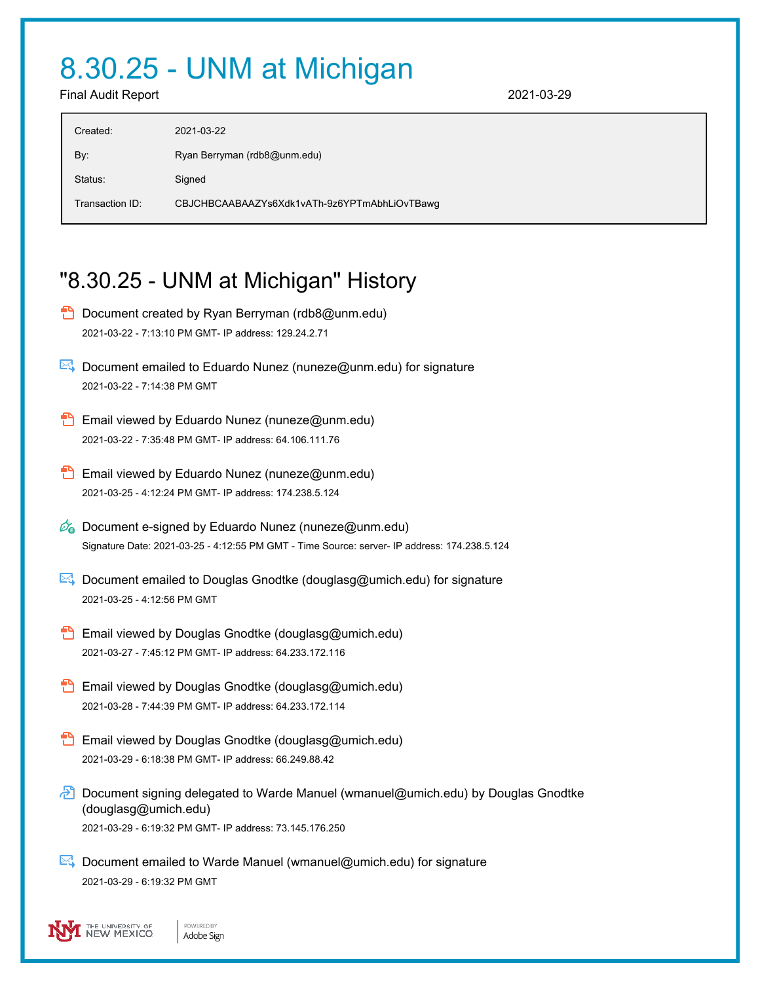## 8.30.25 - UNM at Michigan

Final Audit Report 2021-03-29

| Created:        | 2021-03-22                                   |
|-----------------|----------------------------------------------|
| By:             | Ryan Berryman (rdb8@unm.edu)                 |
| Status:         | Signed                                       |
| Transaction ID: | CBJCHBCAABAAZYs6Xdk1vATh-9z6YPTmAbhLiOvTBawg |

## "8.30.25 - UNM at Michigan" History

- **D** Document created by Ryan Berryman (rdb8@unm.edu) 2021-03-22 - 7:13:10 PM GMT- IP address: 129.24.2.71
- $\boxtimes$  Document emailed to Eduardo Nunez (nuneze@unm.edu) for signature 2021-03-22 - 7:14:38 PM GMT
- Email viewed by Eduardo Nunez (nuneze@unm.edu) 2021-03-22 - 7:35:48 PM GMT- IP address: 64.106.111.76
- **Email viewed by Eduardo Nunez (nuneze@unm.edu)** 2021-03-25 - 4:12:24 PM GMT- IP address: 174.238.5.124
- $\mathbb{Z}_{\bullet}$  Document e-signed by Eduardo Nunez (nuneze@unm.edu) Signature Date: 2021-03-25 - 4:12:55 PM GMT - Time Source: server- IP address: 174.238.5.124
- $\mathbb{R}$  Document emailed to Douglas Gnodtke (douglasg@umich.edu) for signature 2021-03-25 - 4:12:56 PM GMT
- **Email viewed by Douglas Gnodtke (douglasg@umich.edu)** 2021-03-27 - 7:45:12 PM GMT- IP address: 64.233.172.116
- **Email viewed by Douglas Gnodtke (douglasg@umich.edu)** 2021-03-28 - 7:44:39 PM GMT- IP address: 64.233.172.114
- Email viewed by Douglas Gnodtke (douglasg@umich.edu) 2021-03-29 - 6:18:38 PM GMT- IP address: 66.249.88.42
- **D** Document signing delegated to Warde Manuel (wmanuel@umich.edu) by Douglas Gnodtke (douglasg@umich.edu) 2021-03-29 - 6:19:32 PM GMT- IP address: 73.145.176.250
- $\triangleright$  Document emailed to Warde Manuel (wmanuel@umich.edu) for signature 2021-03-29 - 6:19:32 PM GMT

THE UNIVERSITY OF<br>NEW MEXICO POWERED BY Adobe Sign